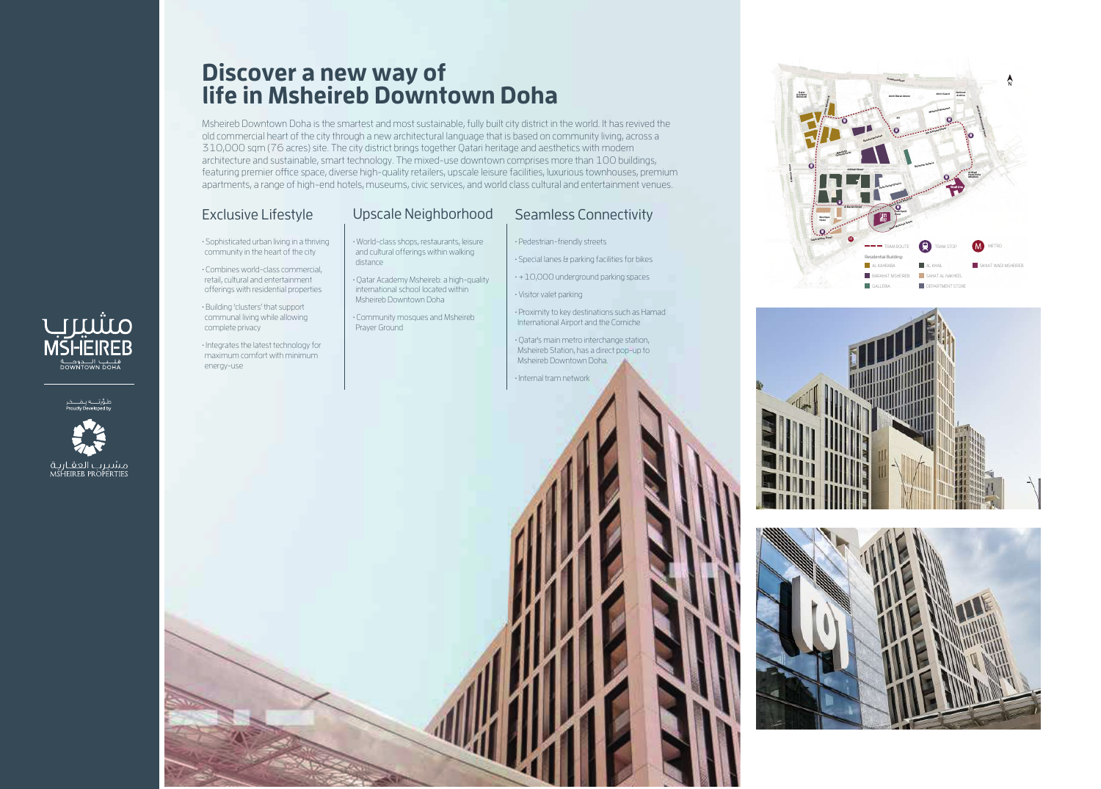# **Discover a new way of life in Msheireb Downtown Doha**

Msheireb Downtown Doha is the smartest and most sustainable, fully built city district in the world. It has revived the old commercial heart of the city through a new architectural language that is based on community living, across a 310,000 sqm (76 acres) site. The city district brings together Qatari heritage and aesthetics with modern architecture and sustainable, smart technology. The mixed-use downtown comprises more than 100 buildings, featuring premier office space, diverse high-quality retailers, upscale leisure facilities, luxurious townhouses, premium apartments, a range of high-end hotels, museums, civic services, and world class cultural and entertainment venues.

## Exclusive Lifestyle Upscale Neighborhood Seamless Connectivity

• Sophisticated urban living in a thriving community in the heart of the city

• Combines world-class commercial, retail, cultural and entertainment offerings with residential properties

• Building 'clusters' that support communal living while allowing complete privacy

• Integrates the latest technology for

• World-class shops, restaurants, leisure and cultural offerings within walking distance

• Qatar Academy Msheireb: a high-quality international school located within Msheireb Downtown Doha

• Community mosques and Msheireb Prayer Ground

• Pedestrian-friendly streets

• Special lanes & parking facilities for bikes

 $\cdot$  +10,000 underground parking spaces

• Visitor valet parking

• Proximity to key destinations such as Hamad International Airport and the Corniche

• Qatar's main metro interchange station,









# صنثیری<br>MSHEIREB قلــــب الــــدومـــــة<br>DOWNTOWN DOHA